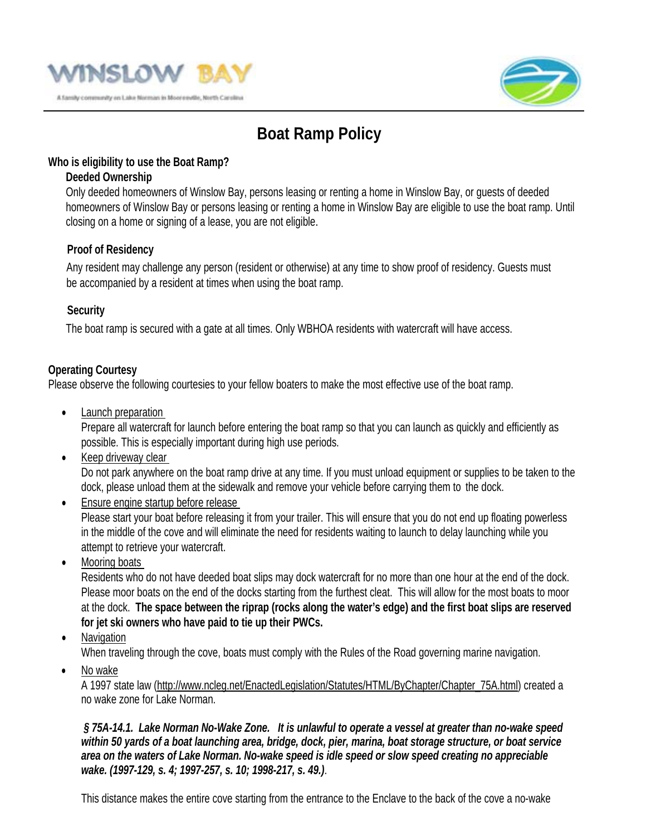



# **Boat Ramp Policy**

#### **Who is eligibility to use the Boat Ramp?**

### **Deeded Ownership**

Only deeded homeowners of Winslow Bay, persons leasing or renting a home in Winslow Bay, or guests of deeded homeowners of Winslow Bay or persons leasing or renting a home in Winslow Bay are eligible to use the boat ramp. Until closing on a home or signing of a lease, you are not eligible.

## **Proof of Residency**

Any resident may challenge any person (resident or otherwise) at any time to show proof of residency. Guests must be accompanied by a resident at times when using the boat ramp.

#### **Security**

The boat ramp is secured with a gate at all times. Only WBHOA residents with watercraft will have access.

## **Operating Courtesy**

Please observe the following courtesies to your fellow boaters to make the most effective use of the boat ramp.

• Launch preparation

Prepare all watercraft for launch before entering the boat ramp so that you can launch as quickly and efficiently as possible. This is especially important during high use periods.

• Keep driveway clear

Do not park anywhere on the boat ramp drive at any time. If you must unload equipment or supplies to be taken to the dock, please unload them at the sidewalk and remove your vehicle before carrying them to the dock.

- Ensure engine startup before release Please start your boat before releasing it from your trailer. This will ensure that you do not end up floating powerless in the middle of the cove and will eliminate the need for residents waiting to launch to delay launching while you attempt to retrieve your watercraft.
- Mooring boats

Residents who do not have deeded boat slips may dock watercraft for no more than one hour at the end of the dock. Please moor boats on the end of the docks starting from the furthest cleat. This will allow for the most boats to moor at the dock. **The space between the riprap (rocks along the water's edge) and the first boat slips are reserved for jet ski owners who have paid to tie up their PWCs.**

• Navigation

When traveling through the cove, boats must comply with the Rules of the Road governing marine navigation.

• No wake

A 1997 state law (http://www.ncleg.net/EnactedLegislation/Statutes/HTML/ByChapter/Chapter\_75A.html) created a no wake zone for Lake Norman.

*§ 75A-14.1. Lake Norman No-Wake Zone. It is unlawful to operate a vessel at greater than no-wake speed within 50 yards of a boat launching area, bridge, dock, pier, marina, boat storage structure, or boat service area on the waters of Lake Norman. No-wake speed is idle speed or slow speed creating no appreciable wake. (1997-129, s. 4; 1997-257, s. 10; 1998-217, s. 49.)*.

This distance makes the entire cove starting from the entrance to the Enclave to the back of the cove a no-wake